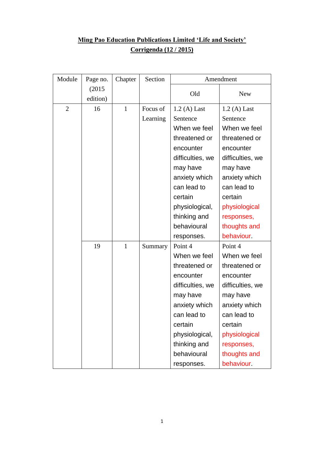## **Ming Pao Education Publications Limited 'Life and Society' Corrigenda (12 / 2015)**

| Module         | Page no. | Chapter      | Section  | Amendment        |                  |
|----------------|----------|--------------|----------|------------------|------------------|
|                | (2015)   |              |          | Old              | <b>New</b>       |
|                | edition) |              |          |                  |                  |
| $\overline{2}$ | 16       | $\mathbf{1}$ | Focus of | $1.2(A)$ Last    | $1.2(A)$ Last    |
|                |          |              | Learning | Sentence         | Sentence         |
|                |          |              |          | When we feel     | When we feel     |
|                |          |              |          | threatened or    | threatened or    |
|                |          |              |          | encounter        | encounter        |
|                |          |              |          | difficulties, we | difficulties, we |
|                |          |              |          | may have         | may have         |
|                |          |              |          | anxiety which    | anxiety which    |
|                |          |              |          | can lead to      | can lead to      |
|                |          |              |          | certain          | certain          |
|                |          |              |          | physiological,   | physiological    |
|                |          |              |          | thinking and     | responses,       |
|                |          |              |          | behavioural      | thoughts and     |
|                |          |              |          | responses.       | behaviour.       |
|                | 19       | $\mathbf{1}$ | Summary  | Point 4          | Point 4          |
|                |          |              |          | When we feel     | When we feel     |
|                |          |              |          | threatened or    | threatened or    |
|                |          |              |          | encounter        | encounter        |
|                |          |              |          | difficulties, we | difficulties, we |
|                |          |              |          | may have         | may have         |
|                |          |              |          | anxiety which    | anxiety which    |
|                |          |              |          | can lead to      | can lead to      |
|                |          |              |          | certain          | certain          |
|                |          |              |          | physiological,   | physiological    |
|                |          |              |          | thinking and     | responses,       |
|                |          |              |          | behavioural      | thoughts and     |
|                |          |              |          | responses.       | behaviour.       |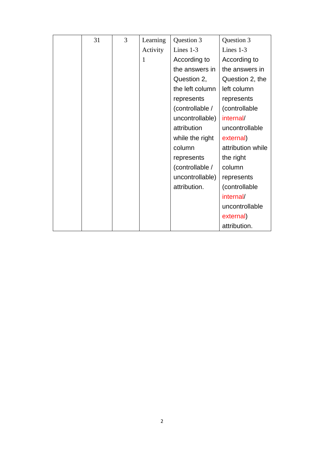| 31 | 3 | Learning | Question 3      | Question 3        |
|----|---|----------|-----------------|-------------------|
|    |   | Activity | Lines 1-3       | Lines $1-3$       |
|    |   | 1        | According to    | According to      |
|    |   |          | the answers in  | the answers in    |
|    |   |          | Question 2,     | Question 2, the   |
|    |   |          | the left column | left column       |
|    |   |          | represents      | represents        |
|    |   |          | (controllable / | (controllable)    |
|    |   |          | uncontrollable) | internal/         |
|    |   |          | attribution     | uncontrollable    |
|    |   |          | while the right | external)         |
|    |   |          | column          | attribution while |
|    |   |          | represents      | the right         |
|    |   |          | (controllable / | column            |
|    |   |          | uncontrollable) | represents        |
|    |   |          | attribution.    | (controllable     |
|    |   |          |                 | internal/         |
|    |   |          |                 | uncontrollable    |
|    |   |          |                 | external)         |
|    |   |          |                 | attribution.      |